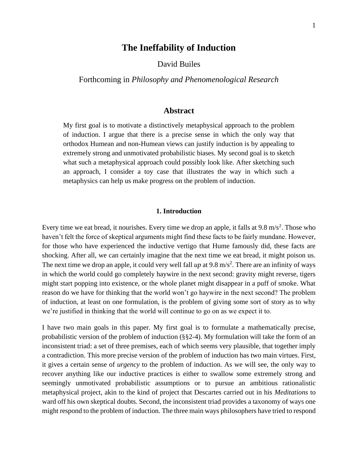# **The Ineffability of Induction**

David Builes

Forthcoming in *Philosophy and Phenomenological Research*

## **Abstract**

My first goal is to motivate a distinctively metaphysical approach to the problem of induction. I argue that there is a precise sense in which the only way that orthodox Humean and non-Humean views can justify induction is by appealing to extremely strong and unmotivated probabilistic biases. My second goal is to sketch what such a metaphysical approach could possibly look like. After sketching such an approach, I consider a toy case that illustrates the way in which such a metaphysics can help us make progress on the problem of induction.

#### **1. Introduction**

Every time we eat bread, it nourishes. Every time we drop an apple, it falls at  $9.8 \text{ m/s}^2$ . Those who haven't felt the force of skeptical arguments might find these facts to be fairly mundane. However, for those who have experienced the inductive vertigo that Hume famously did, these facts are shocking. After all, we can certainly imagine that the next time we eat bread, it might poison us. The next time we drop an apple, it could very well fall  $up$  at  $9.8 \text{ m/s}^2$ . There are an infinity of ways in which the world could go completely haywire in the next second: gravity might reverse, tigers might start popping into existence, or the whole planet might disappear in a puff of smoke. What reason do we have for thinking that the world won't go haywire in the next second? The problem of induction, at least on one formulation, is the problem of giving some sort of story as to why we're justified in thinking that the world will continue to go on as we expect it to.

I have two main goals in this paper. My first goal is to formulate a mathematically precise, probabilistic version of the problem of induction (§§2-4). My formulation will take the form of an inconsistent triad: a set of three premises, each of which seems very plausible, that together imply a contradiction. This more precise version of the problem of induction has two main virtues. First, it gives a certain sense of *urgency* to the problem of induction. As we will see, the only way to recover anything like our inductive practices is either to swallow some extremely strong and seemingly unmotivated probabilistic assumptions or to pursue an ambitious rationalistic metaphysical project, akin to the kind of project that Descartes carried out in his *Meditations* to ward off his own skeptical doubts. Second, the inconsistent triad provides a taxonomy of ways one might respond to the problem of induction. The three main ways philosophers have tried to respond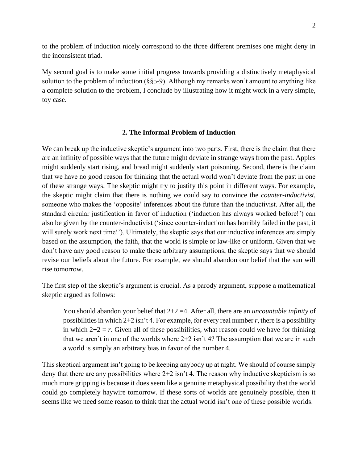to the problem of induction nicely correspond to the three different premises one might deny in the inconsistent triad.

My second goal is to make some initial progress towards providing a distinctively metaphysical solution to the problem of induction (§§5-9). Although my remarks won't amount to anything like a complete solution to the problem, I conclude by illustrating how it might work in a very simple, toy case.

#### **2. The Informal Problem of Induction**

We can break up the inductive skeptic's argument into two parts. First, there is the claim that there are an infinity of possible ways that the future might deviate in strange ways from the past. Apples might suddenly start rising, and bread might suddenly start poisoning. Second, there is the claim that we have no good reason for thinking that the actual world won't deviate from the past in one of these strange ways. The skeptic might try to justify this point in different ways. For example, the skeptic might claim that there is nothing we could say to convince the *counter-inductivist*, someone who makes the 'opposite' inferences about the future than the inductivist. After all, the standard circular justification in favor of induction ('induction has always worked before!') can also be given by the counter-inductivist ('since counter-induction has horribly failed in the past, it will surely work next time!'). Ultimately, the skeptic says that our inductive inferences are simply based on the assumption, the faith, that the world is simple or law-like or uniform. Given that we don't have any good reason to make these arbitrary assumptions, the skeptic says that we should revise our beliefs about the future. For example, we should abandon our belief that the sun will rise tomorrow.

The first step of the skeptic's argument is crucial. As a parody argument, suppose a mathematical skeptic argued as follows:

You should abandon your belief that  $2+2=4$ . After all, there are an *uncountable infinity* of possibilities in which 2+2 isn't 4. For example, for every real number *r*, there is a possibility in which  $2+2 = r$ . Given all of these possibilities, what reason could we have for thinking that we aren't in one of the worlds where  $2+2$  isn't 4? The assumption that we are in such a world is simply an arbitrary bias in favor of the number 4.

This skeptical argument isn't going to be keeping anybody up at night. We should of course simply deny that there are any possibilities where 2+2 isn't 4. The reason why inductive skepticism is so much more gripping is because it does seem like a genuine metaphysical possibility that the world could go completely haywire tomorrow. If these sorts of worlds are genuinely possible, then it seems like we need some reason to think that the actual world isn't one of these possible worlds.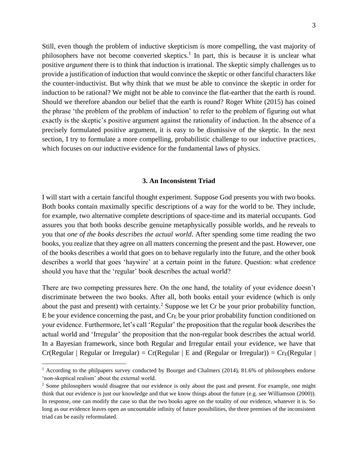Still, even though the problem of inductive skepticism is more compelling, the vast majority of philosophers have not become converted skeptics.<sup>1</sup> In part, this is because it is unclear what positive *argument* there is to think that induction is irrational. The skeptic simply challenges us to provide a justification of induction that would convince the skeptic or other fanciful characters like the counter-inductivist. But why think that we must be able to convince the skeptic in order for induction to be rational? We might not be able to convince the flat-earther that the earth is round. Should we therefore abandon our belief that the earth is round? Roger White (2015) has coined the phrase 'the problem of the problem of induction' to refer to the problem of figuring out what exactly is the skeptic's positive argument against the rationality of induction. In the absence of a precisely formulated positive argument, it is easy to be dismissive of the skeptic. In the next section, I try to formulate a more compelling, probabilistic challenge to our inductive practices, which focuses on our inductive evidence for the fundamental laws of physics.

#### **3. An Inconsistent Triad**

I will start with a certain fanciful thought experiment. Suppose God presents you with two books. Both books contain maximally specific descriptions of a way for the world to be. They include, for example, two alternative complete descriptions of space-time and its material occupants. God assures you that both books describe genuine metaphysically possible worlds, and he reveals to you that *one of the books describes the actual world*. After spending some time reading the two books, you realize that they agree on all matters concerning the present and the past. However, one of the books describes a world that goes on to behave regularly into the future, and the other book describes a world that goes 'haywire' at a certain point in the future. Question: what credence should you have that the 'regular' book describes the actual world?

There are two competing pressures here. On the one hand, the totality of your evidence doesn't discriminate between the two books. After all, both books entail your evidence (which is only about the past and present) with certainty.<sup>2</sup> Suppose we let  $Cr$  be your prior probability function, E be your evidence concerning the past, and  $Cr_E$  be your prior probability function conditioned on your evidence. Furthermore, let's call 'Regular' the proposition that the regular book describes the actual world and 'Irregular' the proposition that the non-regular book describes the actual world. In a Bayesian framework, since both Regular and Irregular entail your evidence, we have that  $Cr(Regular | Regular or Irregular) = Cr(Regular | E and (Regular or Irregular)) = Cr_E(Regular | E)$ 

<sup>&</sup>lt;sup>1</sup> According to the philpapers survey conducted by Bourget and Chalmers (2014), 81.6% of philosophers endorse 'non-skeptical realism' about the external world.

<sup>&</sup>lt;sup>2</sup> Some philosophers would disagree that our evidence is only about the past and present. For example, one might think that our evidence is just our knowledge and that we know things about the future (e.g. see Williamson (2000)). In response, one can modify the case so that the two books agree on the totality of our evidence, whatever it is. So long as our evidence leaves open an uncountable infinity of future possibilities, the three premises of the inconsistent triad can be easily reformulated.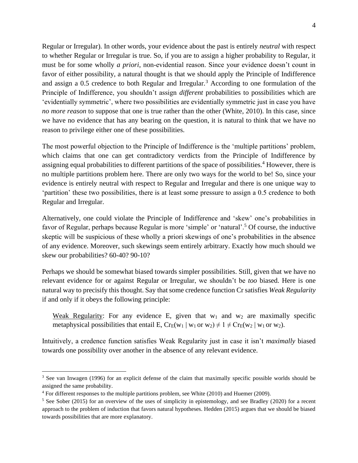Regular or Irregular). In other words, your evidence about the past is entirely *neutral* with respect to whether Regular or Irregular is true. So, if you are to assign a higher probability to Regular, it must be for some wholly *a priori*, non-evidential reason. Since your evidence doesn't count in favor of either possibility, a natural thought is that we should apply the Principle of Indifference and assign a 0.5 credence to both Regular and Irregular.<sup>3</sup> According to one formulation of the Principle of Indifference, you shouldn't assign *different* probabilities to possibilities which are 'evidentially symmetric', where two possibilities are evidentially symmetric just in case you have *no more reason* to suppose that one is true rather than the other (White, 2010). In this case, since we have no evidence that has any bearing on the question, it is natural to think that we have no reason to privilege either one of these possibilities.

The most powerful objection to the Principle of Indifference is the 'multiple partitions' problem, which claims that one can get contradictory verdicts from the Principle of Indifference by assigning equal probabilities to different partitions of the space of possibilities.<sup>4</sup> However, there is no multiple partitions problem here. There are only two ways for the world to be! So, since your evidence is entirely neutral with respect to Regular and Irregular and there is one unique way to 'partition' these two possibilities, there is at least some pressure to assign a 0.5 credence to both Regular and Irregular.

Alternatively, one could violate the Principle of Indifference and 'skew' one's probabilities in favor of Regular, perhaps because Regular is more 'simple' or 'natural'.<sup>5</sup> Of course, the inductive skeptic will be suspicious of these wholly a priori skewings of one's probabilities in the absence of any evidence. Moreover, such skewings seem entirely arbitrary. Exactly how much should we skew our probabilities? 60-40? 90-10?

Perhaps we should be somewhat biased towards simpler possibilities. Still, given that we have no relevant evidence for or against Regular or Irregular, we shouldn't be *too* biased. Here is one natural way to precisify this thought. Say that some credence function Cr satisfies *Weak Regularity* if and only if it obeys the following principle:

Weak Regularity: For any evidence E, given that  $w_1$  and  $w_2$  are maximally specific metaphysical possibilities that entail E,  $Cr_E(w_1 | w_1 \text{ or } w_2) \neq 1 \neq Cr_E(w_2 | w_1 \text{ or } w_2)$ .

Intuitively, a credence function satisfies Weak Regularity just in case it isn't *maximally* biased towards one possibility over another in the absence of any relevant evidence.

<sup>&</sup>lt;sup>3</sup> See van Inwagen (1996) for an explicit defense of the claim that maximally specific possible worlds should be assigned the same probability.

<sup>4</sup> For different responses to the multiple partitions problem, see White (2010) and Huemer (2009).

<sup>&</sup>lt;sup>5</sup> See Sober (2015) for an overview of the uses of simplicity in epistemology, and see Bradley (2020) for a recent approach to the problem of induction that favors natural hypotheses. Hedden (2015) argues that we should be biased towards possibilities that are more explanatory.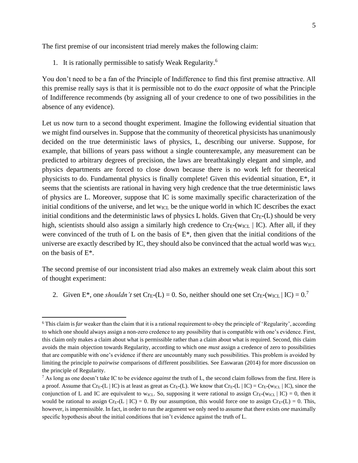The first premise of our inconsistent triad merely makes the following claim:

1. It is rationally permissible to satisfy Weak Regularity.<sup>6</sup>

You don't need to be a fan of the Principle of Indifference to find this first premise attractive. All this premise really says is that it is permissible not to do the *exact opposite* of what the Principle of Indifference recommends (by assigning all of your credence to one of two possibilities in the absence of any evidence).

Let us now turn to a second thought experiment. Imagine the following evidential situation that we might find ourselves in. Suppose that the community of theoretical physicists has unanimously decided on the true deterministic laws of physics, L, describing our universe. Suppose, for example, that billions of years pass without a single counterexample, any measurement can be predicted to arbitrary degrees of precision, the laws are breathtakingly elegant and simple, and physics departments are forced to close down because there is no work left for theoretical physicists to do. Fundamental physics is finally complete! Given this evidential situation, E\*, it seems that the scientists are rational in having very high credence that the true deterministic laws of physics are L. Moreover, suppose that IC is some maximally specific characterization of the initial conditions of the universe, and let  $w_{\text{ICL}}$  be the unique world in which IC describes the exact initial conditions and the deterministic laws of physics L holds. Given that  $Cr_{E^*}(L)$  should be very high, scientists should also assign a similarly high credence to  $Cr_{E*}(w_{ICL} | IC)$ . After all, if they were convinced of the truth of L on the basis of E\*, then given that the initial conditions of the universe are exactly described by IC, they should also be convinced that the actual world was  $w_{\text{ICL}}$ on the basis of E\*.

The second premise of our inconsistent triad also makes an extremely weak claim about this sort of thought experiment:

2. Given E<sup>\*</sup>, one *shouldn't* set Cr<sub>E</sub>\*(L) = 0. So, neither should one set Cr<sub>E</sub>\*(w<sub>ICL</sub> | IC) = 0.<sup>7</sup>

<sup>&</sup>lt;sup>6</sup> This claim is *far* weaker than the claim that it is a rational requirement to obey the principle of 'Regularity', according to which one should always assign a non-zero credence to any possibility that is compatible with one's evidence. First, this claim only makes a claim about what is permissible rather than a claim about what is required. Second, this claim avoids the main objection towards Regularity, according to which one *must* assign a credence of zero to possibilities that are compatible with one's evidence if there are uncountably many such possibilities. This problem is avoided by limiting the principle to *pairwise* comparisons of different possibilities. See Easwaran (2014) for more discussion on the principle of Regularity.

<sup>7</sup> As long as one doesn't take IC to be evidence *against* the truth of L, the second claim follows from the first. Here is a proof. Assume that  $Cr_{E^*}(L | IC)$  is at least as great as  $Cr_{E^*}(L)$ . We know that  $Cr_{E^*}(L | IC) = Cr_{E^*}(w_{ICL} | IC)$ , since the conjunction of L and IC are equivalent to  $w_{\text{ICL}}$ . So, supposing it were rational to assign  $\text{Cr}_{E*}(w_{\text{ICL}} \mid \text{IC}) = 0$ , then it would be rational to assign Cr<sub>E\*</sub>(L | IC) = 0. By our assumption, this would force one to assign Cr<sub>E\*</sub>(L) = 0. This, however, is impermissible. In fact, in order to run the argument we only need to assume that there exists *one* maximally specific hypothesis about the initial conditions that isn't evidence against the truth of L.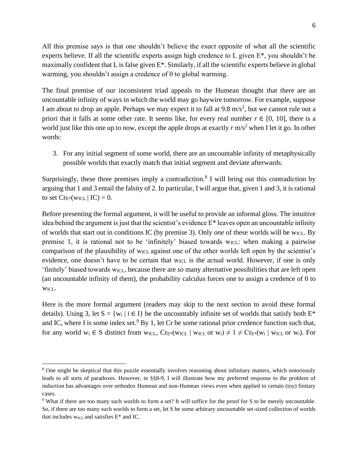All this premise says is that one shouldn't believe the *exact opposite* of what all the scientific experts believe. If all the scientific experts assign high credence to L given  $E^*$ , you shouldn't be maximally confident that L is false given E\*. Similarly, if all the scientific experts believe in global warming, you shouldn't assign a credence of 0 to global warming.

The final premise of our inconsistent triad appeals to the Humean thought that there are an uncountable infinity of ways in which the world may go haywire tomorrow. For example, suppose I am about to drop an apple. Perhaps we may expect it to fall at  $9.8 \text{ m/s}^2$ , but we cannot rule out a priori that it falls at some other rate. It seems like, for every real number  $r \in [0, 10]$ , there is a world just like this one up to now, except the apple drops at exactly  $r \text{ m/s}^2$  when I let it go. In other words:

3. For any initial segment of some world, there are an uncountable infinity of metaphysically possible worlds that exactly match that initial segment and deviate afterwards.

Surprisingly, these three premises imply a contradiction.<sup>8</sup> I will bring out this contradiction by arguing that 1 and 3 entail the falsity of 2. In particular, I will argue that, given 1 and 3, it is rational to set  $Cr_{E^*}(w_{ICL} | IC) = 0$ .

Before presenting the formal argument, it will be useful to provide an informal gloss. The intuitive idea behind the argument is just that the scientist's evidence E\* leaves open an uncountable infinity of worlds that start out in conditions IC (by premise 3). Only *one* of these worlds will be w<sub>ICL</sub>. By premise 1, it is rational not to be 'infinitely' biased towards  $w_{\text{ICL}}$ : when making a pairwise comparison of the plausibility of w<sub>ICL</sub> against one of the other worlds left open by the scientist's evidence, one doesn't have to be certain that  $w_{\text{ICL}}$  is the actual world. However, if one is only 'finitely' biased towards wICL, because there are *so* many alternative possibilities that are left open (an uncountable infinity of them), the probability calculus forces one to assign a credence of 0 to WICL.

Here is the more formal argument (readers may skip to the next section to avoid these formal details). Using 3, let  $S = \{w_i | i \in I\}$  be the uncountably infinite set of worlds that satisfy both  $E^*$ and IC, where I is some index set.<sup>9</sup> By 1, let Cr be some rational prior credence function such that, for any world w<sub>i</sub>  $\in$  S distinct from w<sub>ICL</sub>, Cr<sub>E\*</sub>(w<sub>ICL</sub> | w<sub>ICL</sub> or w<sub>i</sub>)  $\neq$  1  $\neq$  Cr<sub>E\*</sub>(w<sub>i</sub> | w<sub>ICL</sub> or w<sub>i</sub>). For

<sup>&</sup>lt;sup>8</sup> One might be skeptical that this puzzle essentially involves reasoning about infinitary matters, which notoriously leads to all sorts of paradoxes. However, in §§8-9, I will illustrate how my preferred response to the problem of induction has advantages over orthodox Humean and non-Humean views even when applied to certain (toy) finitary cases.

<sup>9</sup> What if there are too many such worlds to form a set? It will suffice for the proof for S to be merely uncountable. So, if there are too many such worlds to form a set, let S be some arbitrary uncountable set-sized collection of worlds that includes  $w_{\text{ICL}}$  and satisfies  $E^*$  and IC.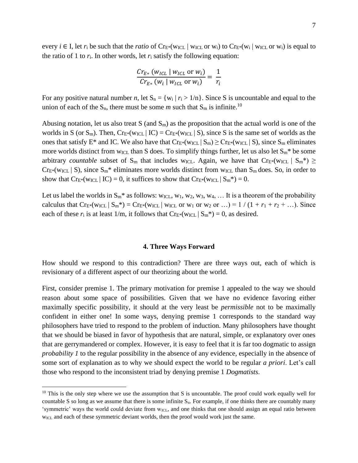every  $i \in I$ , let  $r_i$  be such that the *ratio* of  $Cr_{E*}(w_{\text{ICL}} \mid w_{\text{ICL}})$  or  $w_i$  or  $w_i$  is equal to the ratio of 1 to  $r_i$ . In other words, let  $r_i$  satisfy the following equation:

$$
\frac{Cr_{E*}(w_{\text{ICL}} \mid w_{\text{ICL}} \text{ or } w_i)}{Cr_{E*}(w_i \mid w_{\text{ICL}} \text{ or } w_i)} = \frac{1}{r_i}
$$

For any positive natural number *n*, let  $S_n = \{w_i \mid r_i > 1/n\}$ . Since S is uncountable and equal to the union of each of the  $S_n$ , there must be some *m* such that  $S_m$  is infinite.<sup>10</sup>

Abusing notation, let us also treat S (and  $S_m$ ) as the proposition that the actual world is one of the worlds in S (or S<sub>m</sub>). Then,  $Cr_{E^*}(w_{ICL} | IC) = Cr_{E^*}(w_{ICL} | S)$ , since S is the same set of worlds as the ones that satisfy E<sup>\*</sup> and IC. We also have that  $Cr_{E*}(w_{ICL} | S_m) \ge Cr_{E*}(w_{ICL} | S)$ , since  $S_m$  eliminates more worlds distinct from  $w_{\text{ICL}}$  than S does. To simplify things further, let us also let  $S_m^*$  be some arbitrary *countable* subset of S<sub>m</sub> that includes w<sub>ICL</sub>. Again, we have that  $Cr_{E*}(w_{ICL} | S_m^*) \ge$  $Cr_{E^*}(w_{ICL} \mid S)$ , since  $S_m^*$  eliminates more worlds distinct from  $w_{ICL}$  than  $S_m$  does. So, in order to show that  $Cr_{E^*}(w_{\text{ICL}} | IC) = 0$ , it suffices to show that  $Cr_{E^*}(w_{\text{ICL}} | S_m^*) = 0$ .

Let us label the worlds in  $S_m^*$  as follows:  $w_{\text{ICL}}$ ,  $w_1$ ,  $w_2$ ,  $w_3$ ,  $w_4$ , ... It is a theorem of the probability calculus that  $Cr_{E^*}(w_{ICL} | S_m^*) = Cr_{E^*}(w_{ICL} | w_{ICL}$  or  $w_1$  or  $w_2$  or ...) = 1 / (1 +  $r_1 + r_2 + ...$ ). Since each of these  $r_i$  is at least 1/m, it follows that  $Cr_{E^*}(w_{ICL} | S_m^*) = 0$ , as desired.

#### **4. Three Ways Forward**

How should we respond to this contradiction? There are three ways out, each of which is revisionary of a different aspect of our theorizing about the world.

First, consider premise 1. The primary motivation for premise 1 appealed to the way we should reason about some space of possibilities. Given that we have no evidence favoring either maximally specific possibility, it should at the very least be *permissible* not to be maximally confident in either one! In some ways, denying premise 1 corresponds to the standard way philosophers have tried to respond to the problem of induction. Many philosophers have thought that we should be biased in favor of hypothesis that are natural, simple, or explanatory over ones that are gerrymandered or complex. However, it is easy to feel that it is far too dogmatic to assign *probability 1* to the regular possibility in the absence of any evidence, especially in the absence of some sort of explanation as to why we should expect the world to be regular *a priori*. Let's call those who respond to the inconsistent triad by denying premise 1 *Dogmatists*.

 $10$  This is the only step where we use the assumption that S is uncountable. The proof could work equally well for countable S so long as we assume that there is some infinite S<sub>n</sub>. For example, if one thinks there are countably many 'symmetric' ways the world could deviate from  $w_{\text{ICL}}$ , and one thinks that one should assign an equal ratio between  $w_{\text{ICL}}$  and each of these symmetric deviant worlds, then the proof would work just the same.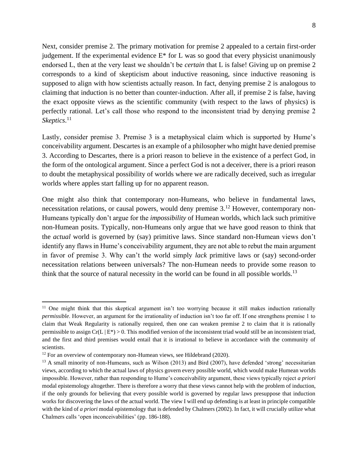Next, consider premise 2. The primary motivation for premise 2 appealed to a certain first-order judgement. If the experimental evidence E\* for L was so good that every physicist unanimously endorsed L, then at the very least we shouldn't be *certain* that L is false! Giving up on premise 2 corresponds to a kind of skepticism about inductive reasoning, since inductive reasoning is supposed to align with how scientists actually reason. In fact, denying premise 2 is analogous to claiming that induction is no better than counter-induction. After all, if premise 2 is false, having the exact opposite views as the scientific community (with respect to the laws of physics) is perfectly rational. Let's call those who respond to the inconsistent triad by denying premise 2 *Skeptics*. 11

Lastly, consider premise 3. Premise 3 is a metaphysical claim which is supported by Hume's conceivability argument. Descartes is an example of a philosopher who might have denied premise 3. According to Descartes, there is a priori reason to believe in the existence of a perfect God, in the form of the ontological argument. Since a perfect God is not a deceiver, there is a priori reason to doubt the metaphysical possibility of worlds where we are radically deceived, such as irregular worlds where apples start falling up for no apparent reason.

One might also think that contemporary non-Humeans, who believe in fundamental laws, necessitation relations, or causal powers, would deny premise  $3<sup>12</sup>$  However, contemporary non-Humeans typically don't argue for the *impossibility* of Humean worlds, which lack such primitive non-Humean posits. Typically, non-Humeans only argue that we have good reason to think that the *actual* world is governed by (say) primitive laws. Since standard non-Humean views don't identify any flaws in Hume's conceivability argument, they are not able to rebut the main argument in favor of premise 3. Why can't the world simply *lack* primitive laws or (say) second-order necessitation relations between universals? The non-Humean needs to provide some reason to think that the source of natural necessity in the world can be found in all possible worlds.<sup>13</sup>

<sup>&</sup>lt;sup>11</sup> One might think that this skeptical argument isn't too worrying because it still makes induction rationally *permissible*. However, an argument for the irrationality of induction isn't too far off. If one strengthens premise 1 to claim that Weak Regularity is rationally required, then one can weaken premise 2 to claim that it is rationally permissible to assign  $Cr(L | E^*) > 0$ . This modified version of the inconsistent triad would still be an inconsistent triad, and the first and third premises would entail that it is irrational to believe in accordance with the community of scientists.

<sup>&</sup>lt;sup>12</sup> For an overview of contemporary non-Humean views, see Hildebrand (2020).

<sup>&</sup>lt;sup>13</sup> A small minority of non-Humeans, such as Wilson (2013) and Bird (2007), have defended 'strong' necessitarian views, according to which the actual laws of physics govern every possible world, which would make Humean worlds impossible. However, rather than responding to Hume's conceivability argument, these views typically reject *a priori* modal epistemology altogether. There is therefore a worry that these views cannot help with the problem of induction, if the only grounds for believing that every possible world is governed by regular laws presuppose that induction works for discovering the laws of the actual world. The view I will end up defending is at least in principle compatible with the kind of *a priori* modal epistemology that is defended by Chalmers (2002). In fact, it will crucially utilize what Chalmers calls 'open inconceivabilities' (pp. 186-188).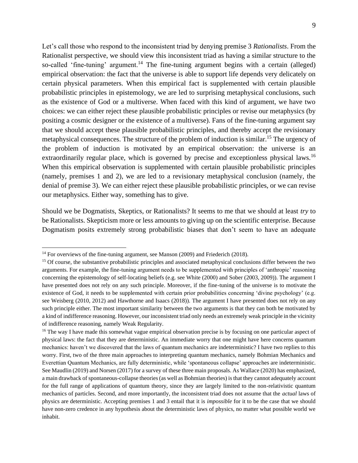Let's call those who respond to the inconsistent triad by denying premise 3 *Rationalists*. From the Rationalist perspective, we should view this inconsistent triad as having a similar structure to the so-called 'fine-tuning' argument.<sup>14</sup> The fine-tuning argument begins with a certain (alleged) empirical observation: the fact that the universe is able to support life depends very delicately on certain physical parameters. When this empirical fact is supplemented with certain plausible probabilistic principles in epistemology, we are led to surprising metaphysical conclusions, such as the existence of God or a multiverse. When faced with this kind of argument, we have two choices: we can either reject these plausible probabilistic principles or revise our metaphysics (by positing a cosmic designer or the existence of a multiverse). Fans of the fine-tuning argument say that we should accept these plausible probabilistic principles, and thereby accept the revisionary metaphysical consequences. The structure of the problem of induction is similar.<sup>15</sup> The urgency of the problem of induction is motivated by an empirical observation: the universe is an extraordinarily regular place, which is governed by precise and exceptionless physical laws.<sup>16</sup> When this empirical observation is supplemented with certain plausible probabilistic principles (namely, premises 1 and 2), we are led to a revisionary metaphysical conclusion (namely, the denial of premise 3). We can either reject these plausible probabilistic principles, or we can revise our metaphysics. Either way, something has to give.

Should we be Dogmatists, Skeptics, or Rationalists? It seems to me that we should at least *try* to be Rationalists. Skepticism more or less amounts to giving up on the scientific enterprise. Because Dogmatism posits extremely strong probabilistic biases that don't seem to have an adequate

<sup>&</sup>lt;sup>14</sup> For overviews of the fine-tuning argument, see Manson (2009) and Friederich (2018).

<sup>&</sup>lt;sup>15</sup> Of course, the substantive probabilistic principles and associated metaphysical conclusions differ between the two arguments. For example, the fine-tuning argument needs to be supplemented with principles of 'anthropic' reasoning concerning the epistemology of self-locating beliefs (e.g. see White (2000) and Sober (2003, 2009)). The argument I have presented does not rely on any such principle. Moreover, if the fine-tuning of the universe is to motivate the existence of God, it needs to be supplemented with certain prior probabilities concerning 'divine psychology' (e.g. see Weisberg (2010, 2012) and Hawthorne and Isaacs (2018)). The argument I have presented does not rely on any such principle either. The most important similarity between the two arguments is that they can both be motivated by a kind of indifference reasoning. However, our inconsistent triad only needs an extremely weak principle in the vicinity of indifference reasoning, namely Weak Regularity.

<sup>&</sup>lt;sup>16</sup> The way I have made this somewhat vague empirical observation precise is by focusing on one particular aspect of physical laws: the fact that they are deterministic. An immediate worry that one might have here concerns quantum mechanics: haven't we discovered that the laws of quantum mechanics are indeterministic? I have two replies to this worry. First, two of the three main approaches to interpreting quantum mechanics, namely Bohmian Mechanics and Everettian Quantum Mechanics, are fully deterministic, while 'spontaneous collapse' approaches are indeterministic. See Maudlin (2019) and Norsen (2017) for a survey of these three main proposals. As Wallace (2020) has emphasized, a main drawback of spontaneous-collapse theories (as well as Bohmian theories) is that they cannot adequately account for the full range of applications of quantum theory, since they are largely limited to the non-relativistic quantum mechanics of particles. Second, and more importantly, the inconsistent triad does not assume that the *actual* laws of physics are deterministic. Accepting premises 1 and 3 entail that it is *impossible* for it to be the case that we should have non-zero credence in any hypothesis about the deterministic laws of physics, no matter what possible world we inhabit.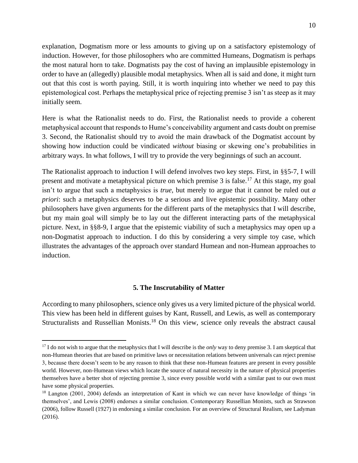explanation, Dogmatism more or less amounts to giving up on a satisfactory epistemology of induction. However, for those philosophers who are committed Humeans, Dogmatism is perhaps the most natural horn to take. Dogmatists pay the cost of having an implausible epistemology in order to have an (allegedly) plausible modal metaphysics. When all is said and done, it might turn out that this cost is worth paying. Still, it is worth inquiring into whether we need to pay this epistemological cost. Perhaps the metaphysical price of rejecting premise 3 isn't as steep as it may initially seem.

Here is what the Rationalist needs to do. First, the Rationalist needs to provide a coherent metaphysical account that responds to Hume's conceivability argument and casts doubt on premise 3. Second, the Rationalist should try to avoid the main drawback of the Dogmatist account by showing how induction could be vindicated *without* biasing or skewing one's probabilities in arbitrary ways. In what follows, I will try to provide the very beginnings of such an account.

The Rationalist approach to induction I will defend involves two key steps. First, in §§5-7, I will present and motivate a metaphysical picture on which premise 3 is false.<sup>17</sup> At this stage, my goal isn't to argue that such a metaphysics is *true*, but merely to argue that it cannot be ruled out *a priori*: such a metaphysics deserves to be a serious and live epistemic possibility. Many other philosophers have given arguments for the different parts of the metaphysics that I will describe, but my main goal will simply be to lay out the different interacting parts of the metaphysical picture. Next, in §§8-9, I argue that the epistemic viability of such a metaphysics may open up a non-Dogmatist approach to induction. I do this by considering a very simple toy case, which illustrates the advantages of the approach over standard Humean and non-Humean approaches to induction.

## **5. The Inscrutability of Matter**

According to many philosophers, science only gives us a very limited picture of the physical world. This view has been held in different guises by Kant, Russell, and Lewis, as well as contemporary Structuralists and Russellian Monists.<sup>18</sup> On this view, science only reveals the abstract causal

<sup>&</sup>lt;sup>17</sup> I do not wish to argue that the metaphysics that I will describe is the *only* way to deny premise 3. I am skeptical that non-Humean theories that are based on primitive laws or necessitation relations between universals can reject premise 3, because there doesn't seem to be any reason to think that these non-Humean features are present in every possible world. However, non-Humean views which locate the source of natural necessity in the nature of physical properties themselves have a better shot of rejecting premise 3, since every possible world with a similar past to our own must have some physical properties.

<sup>18</sup> Langton (2001, 2004) defends an interpretation of Kant in which we can never have knowledge of things 'in themselves', and Lewis (2008) endorses a similar conclusion. Contemporary Russellian Monists, such as Strawson (2006), follow Russell (1927) in endorsing a similar conclusion. For an overview of Structural Realism, see Ladyman (2016).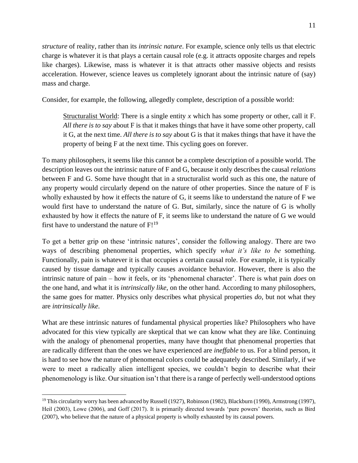*structure* of reality, rather than its *intrinsic nature*. For example, science only tells us that electric charge is whatever it is that plays a certain causal role (e.g. it attracts opposite charges and repels like charges). Likewise, mass is whatever it is that attracts other massive objects and resists acceleration. However, science leaves us completely ignorant about the intrinsic nature of (say) mass and charge.

Consider, for example, the following, allegedly complete, description of a possible world:

Structuralist World: There is a single entity *x* which has some property or other, call it F. *All there is to say* about F is that it makes things that have it have some other property, call it G, at the next time. *All there is to say* about G is that it makes things that have it have the property of being F at the next time. This cycling goes on forever.

To many philosophers, it seems like this cannot be a complete description of a possible world. The description leaves out the intrinsic nature of F and G, because it only describes the causal *relations* between F and G. Some have thought that in a structuralist world such as this one, the nature of any property would circularly depend on the nature of other properties. Since the nature of F is wholly exhausted by how it effects the nature of G, it seems like to understand the nature of F we would first have to understand the nature of G. But, similarly, since the nature of G is wholly exhausted by how it effects the nature of F, it seems like to understand the nature of G we would first have to understand the nature of  $F!^{19}$ 

To get a better grip on these 'intrinsic natures', consider the following analogy. There are two ways of describing phenomenal properties, which specify *what it's like to be* something. Functionally, pain is whatever it is that occupies a certain causal role. For example, it is typically caused by tissue damage and typically causes avoidance behavior. However, there is also the intrinsic nature of pain – how it feels, or its 'phenomenal character'. There is what pain *does* on the one hand, and what it is *intrinsically like*, on the other hand. According to many philosophers, the same goes for matter. Physics only describes what physical properties *do*, but not what they are *intrinsically like*.

What are these intrinsic natures of fundamental physical properties like? Philosophers who have advocated for this view typically are skeptical that we can know what they are like. Continuing with the analogy of phenomenal properties, many have thought that phenomenal properties that are radically different than the ones we have experienced are *ineffable* to us. For a blind person, it is hard to see how the nature of phenomenal colors could be adequately described. Similarly, if we were to meet a radically alien intelligent species, we couldn't begin to describe what their phenomenology is like. Our situation isn't that there is a range of perfectly well-understood options

<sup>19</sup> This circularity worry has been advanced by Russell (1927), Robinson (1982), Blackburn (1990), Armstrong (1997), Heil (2003), Lowe (2006), and Goff (2017). It is primarily directed towards 'pure powers' theorists, such as Bird (2007), who believe that the nature of a physical property is wholly exhausted by its causal powers.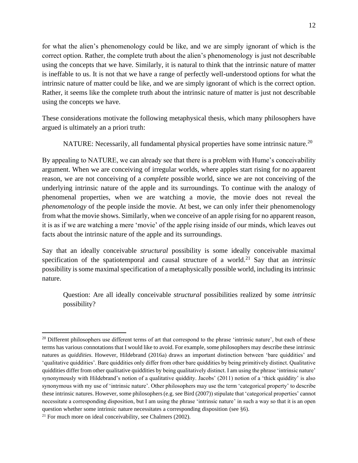for what the alien's phenomenology could be like, and we are simply ignorant of which is the correct option. Rather, the complete truth about the alien's phenomenology is just not describable using the concepts that we have. Similarly, it is natural to think that the intrinsic nature of matter is ineffable to us. It is not that we have a range of perfectly well-understood options for what the intrinsic nature of matter could be like, and we are simply ignorant of which is the correct option. Rather, it seems like the complete truth about the intrinsic nature of matter is just not describable using the concepts we have.

These considerations motivate the following metaphysical thesis, which many philosophers have argued is ultimately an a priori truth:

NATURE: Necessarily, all fundamental physical properties have some intrinsic nature.<sup>20</sup>

By appealing to NATURE, we can already see that there is a problem with Hume's conceivability argument. When we are conceiving of irregular worlds, where apples start rising for no apparent reason, we are not conceiving of a *complete* possible world, since we are not conceiving of the underlying intrinsic nature of the apple and its surroundings. To continue with the analogy of phenomenal properties, when we are watching a movie, the movie does not reveal the *phenomenology* of the people inside the movie. At best, we can only infer their phenomenology from what the movie shows. Similarly, when we conceive of an apple rising for no apparent reason, it is as if we are watching a mere 'movie' of the apple rising inside of our minds, which leaves out facts about the intrinsic nature of the apple and its surroundings.

Say that an ideally conceivable *structural* possibility is some ideally conceivable maximal specification of the spatiotemporal and causal structure of a world.<sup>21</sup> Say that an *intrinsic* possibility is some maximal specification of a metaphysically possible world, including its intrinsic nature.

Question: Are all ideally conceivable *structural* possibilities realized by some *intrinsic* possibility?

<sup>&</sup>lt;sup>20</sup> Different philosophers use different terms of art that correspond to the phrase 'intrinsic nature', but each of these terms has various connotations that I would like to avoid. For example, some philosophers may describe these intrinsic natures as *quiddities*. However, Hildebrand (2016a) draws an important distinction between 'bare quiddities' and 'qualitative quiddities'. Bare quiddities only differ from other bare quiddities by being primitively distinct. Qualitative quiddities differ from other qualitative quiddities by being qualitatively distinct. I am using the phrase 'intrinsic nature' synonymously with Hildebrand's notion of a qualitative quiddity. Jacobs' (2011) notion of a 'thick quiddity' is also synonymous with my use of 'intrinsic nature'. Other philosophers may use the term 'categorical property' to describe these intrinsic natures. However, some philosophers (e.g. see Bird (2007)) stipulate that 'categorical properties' cannot necessitate a corresponding disposition, but I am using the phrase 'intrinsic nature' in such a way so that it is an open question whether some intrinsic nature necessitates a corresponding disposition (see §6).

 $21$  For much more on ideal conceivability, see Chalmers (2002).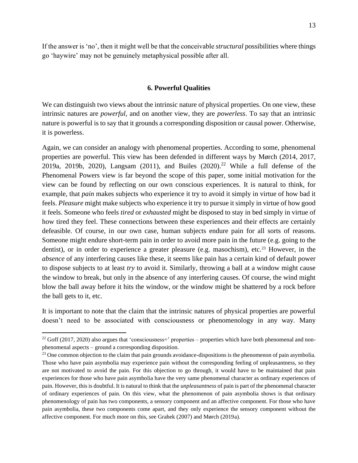If the answer is 'no', then it might well be that the conceivable *structural* possibilities where things go 'haywire' may not be genuinely metaphysical possible after all.

#### **6. Powerful Qualities**

We can distinguish two views about the intrinsic nature of physical properties. On one view, these intrinsic natures are *powerful*, and on another view, they are *powerless*. To say that an intrinsic nature is powerful is to say that it grounds a corresponding disposition or causal power. Otherwise, it is powerless.

Again, we can consider an analogy with phenomenal properties. According to some, phenomenal properties are powerful. This view has been defended in different ways by Mørch (2014, 2017, 2019a, 2019b, 2020), Langsam (2011), and Builes (2020). <sup>22</sup> While a full defense of the Phenomenal Powers view is far beyond the scope of this paper, some initial motivation for the view can be found by reflecting on our own conscious experiences. It is natural to think, for example, that *pain* makes subjects who experience it try to avoid it simply in virtue of how bad it feels. *Pleasure* might make subjects who experience it try to pursue it simply in virtue of how good it feels. Someone who feels *tired* or *exhausted* might be disposed to stay in bed simply in virtue of how tired they feel. These connections between these experiences and their effects are certainly defeasible. Of course, in our own case, human subjects endure pain for all sorts of reasons. Someone might endure short-term pain in order to avoid more pain in the future (e.g. going to the dentist), or in order to experience a greater pleasure (e.g. masochism), etc.<sup>23</sup> However, in the *absence* of any interfering causes like these, it seems like pain has a certain kind of default power to dispose subjects to at least *try* to avoid it. Similarly, throwing a ball at a window might cause the window to break, but only in the absence of any interfering causes. Of course, the wind might blow the ball away before it hits the window, or the window might be shattered by a rock before the ball gets to it, etc.

It is important to note that the claim that the intrinsic natures of physical properties are powerful doesn't need to be associated with consciousness or phenomenology in any way. Many

 $22$  Goff (2017, 2020) also argues that 'consciousness+' properties – properties which have both phenomenal and nonphenomenal aspects – ground a corresponding disposition.

<sup>&</sup>lt;sup>23</sup> One common objection to the claim that pain grounds avoidance-dispositions is the phenomenon of pain asymbolia. Those who have pain asymbolia may experience pain without the corresponding feeling of unpleasantness, so they are not motivated to avoid the pain. For this objection to go through, it would have to be maintained that pain experiences for those who have pain asymbolia have the very same phenomenal character as ordinary experiences of pain. However, this is doubtful. It is natural to think that the *unpleasantness* of pain is part of the phenomenal character of ordinary experiences of pain. On this view, what the phenomenon of pain asymbolia shows is that ordinary phenomenology of pain has two components, a sensory component and an affective component. For those who have pain asymbolia, these two components come apart, and they only experience the sensory component without the affective component. For much more on this, see Grahek (2007) and Mørch (2019a).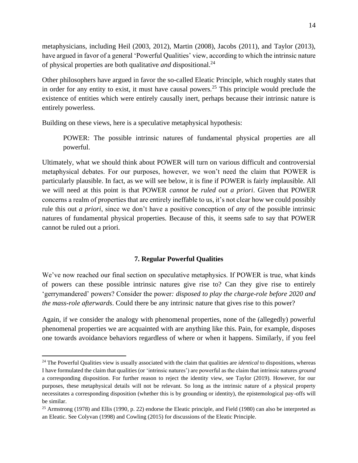metaphysicians, including Heil (2003, 2012), Martin (2008), Jacobs (2011), and Taylor (2013), have argued in favor of a general 'Powerful Qualities' view, according to which the intrinsic nature of physical properties are both qualitative *and* dispositional.<sup>24</sup>

Other philosophers have argued in favor the so-called Eleatic Principle, which roughly states that in order for any entity to exist, it must have causal powers.<sup>25</sup> This principle would preclude the existence of entities which were entirely causally inert, perhaps because their intrinsic nature is entirely powerless.

Building on these views, here is a speculative metaphysical hypothesis:

POWER: The possible intrinsic natures of fundamental physical properties are all powerful.

Ultimately, what we should think about POWER will turn on various difficult and controversial metaphysical debates. For our purposes, however, we won't need the claim that POWER is particularly plausible. In fact, as we will see below, it is fine if POWER is fairly *im*plausible. All we will need at this point is that POWER *cannot be ruled out a priori*. Given that POWER concerns a realm of properties that are entirely ineffable to us, it's not clear how we could possibly rule this out *a priori*, since we don't have a positive conception of *any* of the possible intrinsic natures of fundamental physical properties. Because of this, it seems safe to say that POWER cannot be ruled out a priori.

#### **7. Regular Powerful Qualities**

We've now reached our final section on speculative metaphysics. If POWER is true, what kinds of powers can these possible intrinsic natures give rise to? Can they give rise to entirely 'gerrymandered' powers? Consider the power*: disposed to play the charge-role before 2020 and the mass-role afterwards*. Could there be any intrinsic nature that gives rise to this power?

Again, if we consider the analogy with phenomenal properties, none of the (allegedly) powerful phenomenal properties we are acquainted with are anything like this. Pain, for example, disposes one towards avoidance behaviors regardless of where or when it happens. Similarly, if you feel

<sup>24</sup> The Powerful Qualities view is usually associated with the claim that qualities are *identical* to dispositions, whereas I have formulated the claim that qualities (or 'intrinsic natures') are powerful as the claim that intrinsic natures *ground* a corresponding disposition. For further reason to reject the identity view, see Taylor (2019). However, for our purposes, these metaphysical details will not be relevant. So long as the intrinsic nature of a physical property necessitates a corresponding disposition (whether this is by grounding or identity), the epistemological pay-offs will be similar.

<sup>&</sup>lt;sup>25</sup> Armstrong (1978) and Ellis (1990, p. 22) endorse the Eleatic principle, and Field (1980) can also be interpreted as an Eleatic. See Colyvan (1998) and Cowling (2015) for discussions of the Eleatic Principle.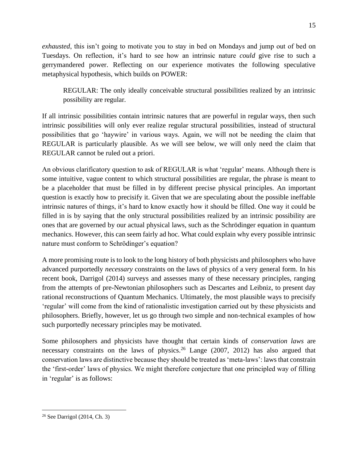*exhausted*, this isn't going to motivate you to stay in bed on Mondays and jump out of bed on Tuesdays. On reflection, it's hard to see how an intrinsic nature *could* give rise to such a gerrymandered power. Reflecting on our experience motivates the following speculative metaphysical hypothesis, which builds on POWER:

REGULAR: The only ideally conceivable structural possibilities realized by an intrinsic possibility are regular.

If all intrinsic possibilities contain intrinsic natures that are powerful in regular ways, then such intrinsic possibilities will only ever realize regular structural possibilities, instead of structural possibilities that go 'haywire' in various ways. Again, we will not be needing the claim that REGULAR is particularly plausible. As we will see below, we will only need the claim that REGULAR cannot be ruled out a priori.

An obvious clarificatory question to ask of REGULAR is what 'regular' means. Although there is some intuitive, vague content to which structural possibilities are regular, the phrase is meant to be a placeholder that must be filled in by different precise physical principles. An important question is exactly how to precisify it. Given that we are speculating about the possible ineffable intrinsic natures of things, it's hard to know exactly how it should be filled. One way it could be filled in is by saying that the only structural possibilities realized by an intrinsic possibility are ones that are governed by our actual physical laws, such as the Schrödinger equation in quantum mechanics. However, this can seem fairly ad hoc. What could explain why every possible intrinsic nature must conform to Schrödinger's equation?

A more promising route is to look to the long history of both physicists and philosophers who have advanced purportedly *necessary* constraints on the laws of physics of a very general form. In his recent book, Darrigol (2014) surveys and assesses many of these necessary principles, ranging from the attempts of pre-Newtonian philosophers such as Descartes and Leibniz, to present day rational reconstructions of Quantum Mechanics. Ultimately, the most plausible ways to precisify 'regular' will come from the kind of rationalistic investigation carried out by these physicists and philosophers. Briefly, however, let us go through two simple and non-technical examples of how such purportedly necessary principles may be motivated.

Some philosophers and physicists have thought that certain kinds of *conservation laws* are necessary constraints on the laws of physics.<sup>26</sup> Lange (2007, 2012) has also argued that conservation laws are distinctive because they should be treated as 'meta-laws': laws that constrain the 'first-order' laws of physics. We might therefore conjecture that one principled way of filling in 'regular' is as follows:

<sup>26</sup> See Darrigol (2014, Ch. 3)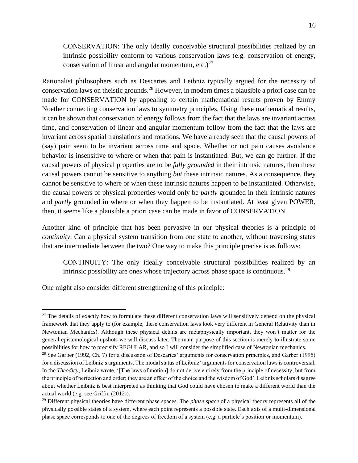CONSERVATION: The only ideally conceivable structural possibilities realized by an intrinsic possibility conform to various conservation laws (e.g. conservation of energy, conservation of linear and angular momentum, etc.)<sup>27</sup>

Rationalist philosophers such as Descartes and Leibniz typically argued for the necessity of conservation laws on theistic grounds.<sup>28</sup> However, in modern times a plausible a priori case can be made for CONSERVATION by appealing to certain mathematical results proven by Emmy Noether connecting conservation laws to symmetry principles. Using these mathematical results, it can be shown that conservation of energy follows from the fact that the laws are invariant across time, and conservation of linear and angular momentum follow from the fact that the laws are invariant across spatial translations and rotations. We have already seen that the causal powers of (say) pain seem to be invariant across time and space. Whether or not pain causes avoidance behavior is insensitive to where or when that pain is instantiated. But, we can go further. If the causal powers of physical properties are to be *fully grounded* in their intrinsic natures, then these causal powers cannot be sensitive to anything *but* these intrinsic natures. As a consequence, they cannot be sensitive to where or when these intrinsic natures happen to be instantiated. Otherwise, the causal powers of physical properties would only be *partly* grounded in their intrinsic natures and *partly* grounded in where or when they happen to be instantiated. At least given POWER, then, it seems like a plausible a priori case can be made in favor of CONSERVATION.

Another kind of principle that has been pervasive in our physical theories is a principle of *continuity*. Can a physical system transition from one state to another, without traversing states that are intermediate between the two? One way to make this principle precise is as follows:

CONTINUITY: The only ideally conceivable structural possibilities realized by an intrinsic possibility are ones whose trajectory across phase space is continuous.<sup>29</sup>

One might also consider different strengthening of this principle:

<sup>&</sup>lt;sup>27</sup> The details of exactly how to formulate these different conservation laws will sensitively depend on the physical framework that they apply to (for example, these conservation laws look very different in General Relativity than in Newtonian Mechanics). Although these physical details are metaphysically important, they won't matter for the general epistemological upshots we will discuss later. The main purpose of this section is merely to illustrate some possibilities for how to precisify REGULAR, and so I will consider the simplified case of Newtonian mechanics.

<sup>&</sup>lt;sup>28</sup> See Garber (1992, Ch. 7) for a discussion of Descartes' arguments for conservation principles, and Garber (1995) for a discussion of Leibniz's arguments. The modal status of Leibniz' arguments for conservation laws is controversial. In the *Theodicy*, Leibniz wrote, '[The laws of motion] do not derive entirely from the principle of necessity, but from the principle of perfection and order; they are an effect of the choice and the wisdom of God'. Leibniz scholars disagree about whether Leibniz is best interpreted as thinking that God could have chosen to make a different world than the actual world (e.g. see Griffin (2012)).

<sup>29</sup> Different physical theories have different phase spaces. The *phase space* of a physical theory represents all of the physically possible states of a system, where each point represents a possible state. Each axis of a multi-dimensional phase space corresponds to one of the degrees of freedom of a system (e.g. a particle's position or momentum).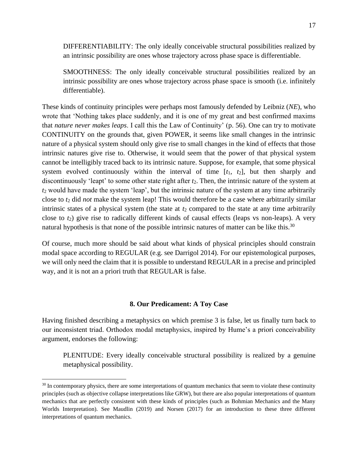DIFFERENTIABILITY: The only ideally conceivable structural possibilities realized by an intrinsic possibility are ones whose trajectory across phase space is differentiable.

SMOOTHNESS: The only ideally conceivable structural possibilities realized by an intrinsic possibility are ones whose trajectory across phase space is smooth (i.e. infinitely differentiable).

These kinds of continuity principles were perhaps most famously defended by Leibniz (*NE*), who wrote that 'Nothing takes place suddenly, and it is one of my great and best confirmed maxims that *nature never makes leaps*. I call this the Law of Continuity' (p. 56). One can try to motivate CONTINUITY on the grounds that, given POWER, it seems like small changes in the intrinsic nature of a physical system should only give rise to small changes in the kind of effects that those intrinsic natures give rise to. Otherwise, it would seem that the power of that physical system cannot be intelligibly traced back to its intrinsic nature. Suppose, for example, that some physical system evolved continuously within the interval of time  $[t_1, t_2]$ , but then sharply and discontinuously 'leapt' to some other state right after *t*2. Then, the intrinsic nature of the system at *t*<sup>2</sup> would have made the system 'leap', but the intrinsic nature of the system at any time arbitrarily close to *t*<sup>2</sup> did *not* make the system leap! This would therefore be a case where arbitrarily similar intrinsic states of a physical system (the state at  $t_2$  compared to the state at any time arbitrarily close to *t*2) give rise to radically different kinds of causal effects (leaps vs non-leaps). A very natural hypothesis is that none of the possible intrinsic natures of matter can be like this.<sup>30</sup>

Of course, much more should be said about what kinds of physical principles should constrain modal space according to REGULAR (e.g. see Darrigol 2014). For our epistemological purposes, we will only need the claim that it is possible to understand REGULAR in a precise and principled way, and it is not an a priori truth that REGULAR is false.

## **8. Our Predicament: A Toy Case**

Having finished describing a metaphysics on which premise 3 is false, let us finally turn back to our inconsistent triad. Orthodox modal metaphysics, inspired by Hume's a priori conceivability argument, endorses the following:

PLENITUDE: Every ideally conceivable structural possibility is realized by a genuine metaphysical possibility.

<sup>&</sup>lt;sup>30</sup> In contemporary physics, there are some interpretations of quantum mechanics that seem to violate these continuity principles (such as objective collapse interpretations like GRW), but there are also popular interpretations of quantum mechanics that are perfectly consistent with these kinds of principles (such as Bohmian Mechanics and the Many Worlds Interpretation). See Maudlin (2019) and Norsen (2017) for an introduction to these three different interpretations of quantum mechanics.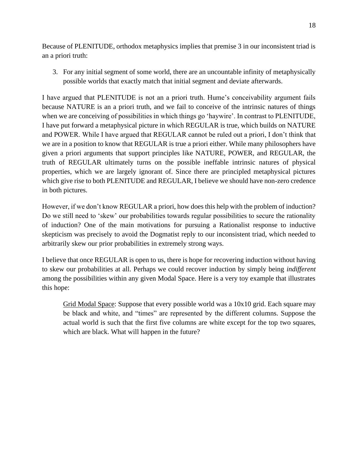Because of PLENITUDE, orthodox metaphysics implies that premise 3 in our inconsistent triad is an a priori truth:

3. For any initial segment of some world, there are an uncountable infinity of metaphysically possible worlds that exactly match that initial segment and deviate afterwards.

I have argued that PLENITUDE is not an a priori truth. Hume's conceivability argument fails because NATURE is an a priori truth, and we fail to conceive of the intrinsic natures of things when we are conceiving of possibilities in which things go 'haywire'. In contrast to PLENITUDE, I have put forward a metaphysical picture in which REGULAR is true, which builds on NATURE and POWER. While I have argued that REGULAR cannot be ruled out a priori, I don't think that we are in a position to know that REGULAR is true a priori either. While many philosophers have given a priori arguments that support principles like NATURE, POWER, and REGULAR, the truth of REGULAR ultimately turns on the possible ineffable intrinsic natures of physical properties, which we are largely ignorant of. Since there are principled metaphysical pictures which give rise to both PLENITUDE and REGULAR, I believe we should have non-zero credence in both pictures.

However, if we don't know REGULAR a priori, how does this help with the problem of induction? Do we still need to 'skew' our probabilities towards regular possibilities to secure the rationality of induction? One of the main motivations for pursuing a Rationalist response to inductive skepticism was precisely to avoid the Dogmatist reply to our inconsistent triad, which needed to arbitrarily skew our prior probabilities in extremely strong ways.

I believe that once REGULAR is open to us, there is hope for recovering induction without having to skew our probabilities at all. Perhaps we could recover induction by simply being *indifferent* among the possibilities within any given Modal Space. Here is a very toy example that illustrates this hope:

Grid Modal Space: Suppose that every possible world was a 10x10 grid. Each square may be black and white, and "times" are represented by the different columns. Suppose the actual world is such that the first five columns are white except for the top two squares, which are black. What will happen in the future?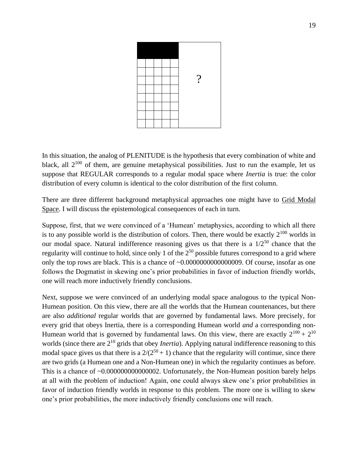

In this situation, the analog of PLENITUDE is the hypothesis that every combination of white and black, all  $2^{100}$  of them, are genuine metaphysical possibilities. Just to run the example, let us suppose that REGULAR corresponds to a regular modal space where *Inertia* is true: the color distribution of every column is identical to the color distribution of the first column.

There are three different background metaphysical approaches one might have to Grid Modal Space. I will discuss the epistemological consequences of each in turn.

Suppose, first, that we were convinced of a 'Humean' metaphysics, according to which all there is to any possible world is the distribution of colors. Then, there would be exactly  $2^{100}$  worlds in our modal space. Natural indifference reasoning gives us that there is a  $1/2^{50}$  chance that the regularity will continue to hold, since only 1 of the  $2^{50}$  possible futures correspond to a grid where only the top rows are black. This is a chance of ~0.0000000000000009. Of course, insofar as one follows the Dogmatist in skewing one's prior probabilities in favor of induction friendly worlds, one will reach more inductively friendly conclusions.

Next, suppose we were convinced of an underlying modal space analogous to the typical Non-Humean position. On this view, there are all the worlds that the Humean countenances, but there are also *additional* regular worlds that are governed by fundamental laws. More precisely, for every grid that obeys Inertia, there is a corresponding Humean world *and* a corresponding non-Humean world that is governed by fundamental laws. On this view, there are exactly  $2^{100} + 2^{10}$ worlds (since there are  $2^{10}$  grids that obey *Inertia*). Applying natural indifference reasoning to this modal space gives us that there is a  $2/(2^{50} + 1)$  chance that the regularity will continue, since there are two grids (a Humean one and a Non-Humean one) in which the regularity continues as before. This is a chance of ~0.000000000000002. Unfortunately, the Non-Humean position barely helps at all with the problem of induction! Again, one could always skew one's prior probabilities in favor of induction friendly worlds in response to this problem. The more one is willing to skew one's prior probabilities, the more inductively friendly conclusions one will reach.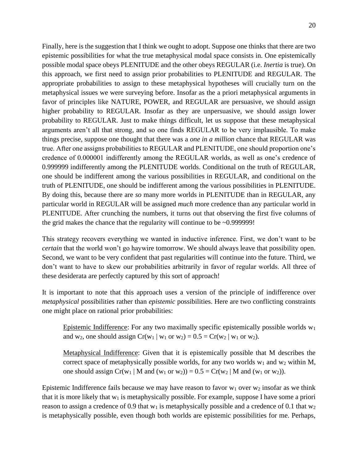Finally, here is the suggestion that I think we ought to adopt. Suppose one thinks that there are two epistemic possibilities for what the true metaphysical modal space consists in. One epistemically possible modal space obeys PLENITUDE and the other obeys REGULAR (i.e. *Inertia* is true). On this approach, we first need to assign prior probabilities to PLENITUDE and REGULAR. The appropriate probabilities to assign to these metaphysical hypotheses will crucially turn on the metaphysical issues we were surveying before. Insofar as the a priori metaphysical arguments in favor of principles like NATURE, POWER, and REGULAR are persuasive, we should assign higher probability to REGULAR. Insofar as they are unpersuasive, we should assign lower probability to REGULAR. Just to make things difficult, let us suppose that these metaphysical arguments aren't all that strong, and so one finds REGULAR to be very implausible. To make things precise, suppose one thought that there was a *one in a million* chance that REGULAR was true. After one assigns probabilities to REGULAR and PLENITUDE, one should proportion one's credence of 0.000001 indifferently among the REGULAR worlds, as well as one's credence of 0.999999 indifferently among the PLENITUDE worlds. Conditional on the truth of REGULAR, one should be indifferent among the various possibilities in REGULAR, and conditional on the truth of PLENITUDE, one should be indifferent among the various possibilities in PLENITUDE. By doing this, because there are *so* many more worlds in PLENITUDE than in REGULAR, any particular world in REGULAR will be assigned *much* more credence than any particular world in PLENITUDE. After crunching the numbers, it turns out that observing the first five columns of the grid makes the chance that the regularity will continue to be ~0.999999!

This strategy recovers everything we wanted in inductive inference. First, we don't want to be *certain* that the world won't go haywire tomorrow. We should always leave that possibility open. Second, we want to be very confident that past regularities will continue into the future. Third, we don't want to have to skew our probabilities arbitrarily in favor of regular worlds. All three of these desiderata are perfectly captured by this sort of approach!

It is important to note that this approach uses a version of the principle of indifference over *metaphysical* possibilities rather than *epistemic* possibilities. Here are two conflicting constraints one might place on rational prior probabilities:

Epistemic Indifference: For any two maximally specific epistemically possible worlds  $w_1$ and w<sub>2</sub>, one should assign  $Cr(w_1 | w_1 \text{ or } w_2) = 0.5 = Cr(w_2 | w_1 \text{ or } w_2)$ .

Metaphysical Indifference: Given that it is epistemically possible that M describes the correct space of metaphysically possible worlds, for any two worlds  $w_1$  and  $w_2$  within M, one should assign  $Cr(w_1 | M \text{ and } (w_1 \text{ or } w_2)) = 0.5 = Cr(w_2 | M \text{ and } (w_1 \text{ or } w_2)).$ 

Epistemic Indifference fails because we may have reason to favor  $w_1$  over  $w_2$  insofar as we think that it is more likely that  $w_1$  is metaphysically possible. For example, suppose I have some a priori reason to assign a credence of 0.9 that  $w_1$  is metaphysically possible and a credence of 0.1 that  $w_2$ is metaphysically possible, even though both worlds are epistemic possibilities for me. Perhaps,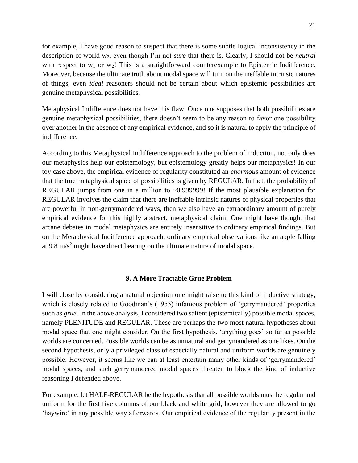for example, I have good reason to suspect that there is some subtle logical inconsistency in the description of world w2, even though I'm not *sure* that there is. Clearly, I should not be *neutral* with respect to  $w_1$  or  $w_2$ ! This is a straightforward counterexample to Epistemic Indifference. Moreover, because the ultimate truth about modal space will turn on the ineffable intrinsic natures of things, even *ideal* reasoners should not be certain about which epistemic possibilities are genuine metaphysical possibilities.

Metaphysical Indifference does not have this flaw. Once one supposes that both possibilities are genuine metaphysical possibilities, there doesn't seem to be any reason to favor one possibility over another in the absence of any empirical evidence, and so it is natural to apply the principle of indifference.

According to this Metaphysical Indifference approach to the problem of induction, not only does our metaphysics help our epistemology, but epistemology greatly helps our metaphysics! In our toy case above, the empirical evidence of regularity constituted an *enormous* amount of evidence that the true metaphysical space of possibilities is given by REGULAR. In fact, the probability of REGULAR jumps from one in a million to ~0.9999999! If the most plausible explanation for REGULAR involves the claim that there are ineffable intrinsic natures of physical properties that are powerful in non-gerrymandered ways, then we also have an extraordinary amount of purely empirical evidence for this highly abstract, metaphysical claim. One might have thought that arcane debates in modal metaphysics are entirely insensitive to ordinary empirical findings. But on the Metaphysical Indifference approach, ordinary empirical observations like an apple falling at  $9.8 \text{ m/s}^2$  might have direct bearing on the ultimate nature of modal space.

#### **9. A More Tractable Grue Problem**

I will close by considering a natural objection one might raise to this kind of inductive strategy, which is closely related to Goodman's (1955) infamous problem of 'gerrymandered' properties such as *grue*. In the above analysis, I considered two salient (epistemically) possible modal spaces, namely PLENITUDE and REGULAR. These are perhaps the two most natural hypotheses about modal space that one might consider. On the first hypothesis, 'anything goes' so far as possible worlds are concerned. Possible worlds can be as unnatural and gerrymandered as one likes. On the second hypothesis, only a privileged class of especially natural and uniform worlds are genuinely possible. However, it seems like we can at least entertain many other kinds of 'gerrymandered' modal spaces, and such gerrymandered modal spaces threaten to block the kind of inductive reasoning I defended above.

For example, let HALF-REGULAR be the hypothesis that all possible worlds must be regular and uniform for the first five columns of our black and white grid, however they are allowed to go 'haywire' in any possible way afterwards. Our empirical evidence of the regularity present in the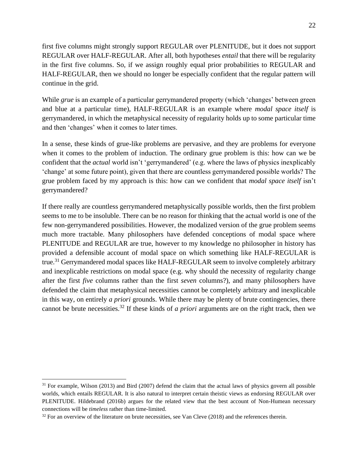first five columns might strongly support REGULAR over PLENITUDE, but it does not support REGULAR over HALF-REGULAR. After all, both hypotheses *entail* that there will be regularity in the first five columns. So, if we assign roughly equal prior probabilities to REGULAR and HALF-REGULAR, then we should no longer be especially confident that the regular pattern will continue in the grid.

While *grue* is an example of a particular gerrymandered property (which 'changes' between green and blue at a particular time), HALF-REGULAR is an example where *modal space itself* is gerrymandered, in which the metaphysical necessity of regularity holds up to some particular time and then 'changes' when it comes to later times.

In a sense, these kinds of grue-like problems are pervasive, and they are problems for everyone when it comes to the problem of induction. The ordinary grue problem is this: how can we be confident that the *actual* world isn't 'gerrymandered' (e.g. where the laws of physics inexplicably 'change' at some future point), given that there are countless gerrymandered possible worlds? The grue problem faced by my approach is this: how can we confident that *modal space itself* isn't gerrymandered?

If there really are countless gerrymandered metaphysically possible worlds, then the first problem seems to me to be insoluble. There can be no reason for thinking that the actual world is one of the few non-gerrymandered possibilities. However, the modalized version of the grue problem seems much more tractable. Many philosophers have defended conceptions of modal space where PLENITUDE and REGULAR are true, however to my knowledge no philosopher in history has provided a defensible account of modal space on which something like HALF-REGULAR is true.<sup>31</sup> Gerrymandered modal spaces like HALF-REGULAR seem to involve completely arbitrary and inexplicable restrictions on modal space (e.g. why should the necessity of regularity change after the first *five* columns rather than the first *seven* columns?), and many philosophers have defended the claim that metaphysical necessities cannot be completely arbitrary and inexplicable in this way, on entirely *a priori* grounds. While there may be plenty of brute contingencies, there cannot be brute necessities.<sup>32</sup> If these kinds of *a priori* arguments are on the right track, then we

 $31$  For example, Wilson (2013) and Bird (2007) defend the claim that the actual laws of physics govern all possible worlds, which entails REGULAR. It is also natural to interpret certain theistic views as endorsing REGULAR over PLENITUDE. Hildebrand (2016b) argues for the related view that the best account of Non-Humean necessary connections will be *timeless* rather than time-limited.

 $32$  For an overview of the literature on brute necessities, see Van Cleve (2018) and the references therein.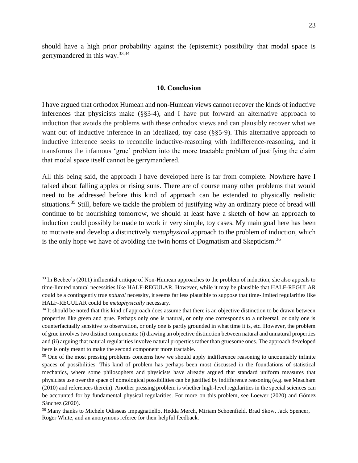should have a high prior probability against the (epistemic) possibility that modal space is gerrymandered in this way.33,34

#### **10. Conclusion**

I have argued that orthodox Humean and non-Humean views cannot recover the kinds of inductive inferences that physicists make (§§3-4), and I have put forward an alternative approach to induction that avoids the problems with these orthodox views and can plausibly recover what we want out of inductive inference in an idealized, toy case (§§5-9). This alternative approach to inductive inference seeks to reconcile inductive-reasoning with indifference-reasoning, and it transforms the infamous 'grue' problem into the more tractable problem of justifying the claim that modal space itself cannot be gerrymandered.

All this being said, the approach I have developed here is far from complete. Nowhere have I talked about falling apples or rising suns. There are of course many other problems that would need to be addressed before this kind of approach can be extended to physically realistic situations.<sup>35</sup> Still, before we tackle the problem of justifying why an ordinary piece of bread will continue to be nourishing tomorrow, we should at least have a sketch of how an approach to induction could possibly be made to work in very simple, toy cases. My main goal here has been to motivate and develop a distinctively *metaphysical* approach to the problem of induction, which is the only hope we have of avoiding the twin horns of Dogmatism and Skepticism.<sup>36</sup>

<sup>&</sup>lt;sup>33</sup> In Beebee's (2011) influential critique of Non-Humean approaches to the problem of induction, she also appeals to time-limited natural necessities like HALF-REGULAR. However, while it may be plausible that HALF-REGULAR could be a contingently true *natural* necessity, it seems far less plausible to suppose that time-limited regularities like HALF-REGULAR could be *metaphysically* necessary.

<sup>&</sup>lt;sup>34</sup> It should be noted that this kind of approach does assume that there is an objective distinction to be drawn between properties like green and grue. Perhaps only one is natural, or only one corresponds to a universal, or only one is counterfactually sensitive to observation, or only one is partly grounded in what time it is, etc. However, the problem of grue involves two distinct components: (i) drawing an objective distinction between natural and unnatural properties and (ii) arguing that natural regularities involve natural properties rather than gruesome ones. The approach developed here is only meant to make the second component more tractable.

<sup>&</sup>lt;sup>35</sup> One of the most pressing problems concerns how we should apply indifference reasoning to uncountably infinite spaces of possibilities. This kind of problem has perhaps been most discussed in the foundations of statistical mechanics, where some philosophers and physicists have already argued that standard uniform measures that physicists use over the space of nomological possibilities can be justified by indifference reasoning (e.g. see Meacham (2010) and references therein). Another pressing problem is whether high-level regularities in the special sciences can be accounted for by fundamental physical regularities. For more on this problem, see Loewer (2020) and Gómez Sánchez (2020).

<sup>36</sup> Many thanks to Michele Odisseas Impagnatiello, Hedda Mørch, Miriam Schoenfield, Brad Skow, Jack Spencer, Roger White, and an anonymous referee for their helpful feedback.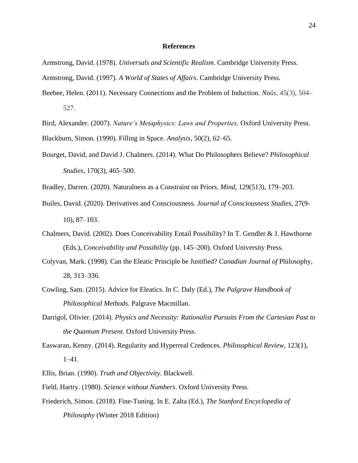#### **References**

- Armstrong, David. (1978). *Universals and Scientific Realism*. Cambridge University Press.
- Armstrong, David. (1997). *A World of States of Affairs*. Cambridge University Press.
- Beebee, Helen. (2011). Necessary Connections and the Problem of Induction. *Noûs*, 45(3), 504– 527.

Bird, Alexander. (2007). *Nature's Metaphysics: Laws and Properties*. Oxford University Press. Blackburn, Simon. (1990). Filling in Space. *Analysis*, 50(2), 62–65.

Bourget, David, and David J. Chalmers. (2014). What Do Philosophers Believe? *Philosophical Studies*, 170(3), 465–500.

Bradley, Darren. (2020). Naturalness as a Constraint on Priors. *Mind*, 129(513), 179–203.

- Builes, David. (2020). Derivatives and Consciousness. *Journal of Consciousness Studies*, 27(9- 10), 87–103.
- Chalmers, David. (2002). Does Conceivability Entail Possibility? In T. Gendler & J. Hawthorne (Eds.), *Conceivability and Possibility* (pp. 145–200). Oxford University Press.
- Colyvan, Mark. (1998). Can the Eleatic Principle be Justified? *Canadian Journal of* Philosophy, 28, 313–336.
- Cowling, Sam. (2015). Advice for Eleatics. In C. Daly (Ed.), *The Palgrave Handbook of Philosophical Methods*. Palgrave Macmillan.
- Darrigol, Olivier. (2014). *Physics and Necessity: Rationalist Pursuits From the Cartesian Past to the Quantum Present*. Oxford University Press.
- Easwaran, Kenny. (2014). Regularity and Hyperreal Credences. *Philosophical Review*, 123(1), 1–41.
- Ellis, Brian. (1990). *Truth and Objectivity*. Blackwell.
- Field, Hartry. (1980). *Science without Numbers*. Oxford University Press.
- Friederich, Simon. (2018). Fine-Tuning. In E. Zalta (Ed.), *The Stanford Encyclopedia of Philosophy* (Winter 2018 Edition)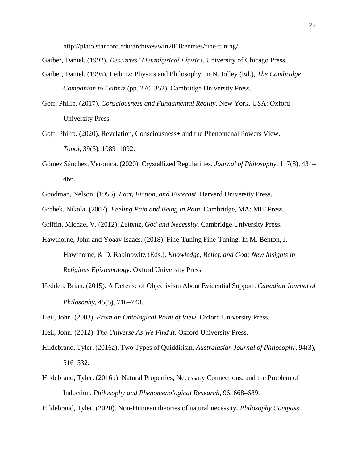http://plato.stanford.edu/archives/win2018/entries/fine-tuning/

- Garber, Daniel. (1992). *Descartes' Metaphysical Physics*. University of Chicago Press.
- Garber, Daniel. (1995). Leibniz: Physics and Philosophy. In N. Jolley (Ed.), *The Cambridge Companion to Leibniz* (pp. 270–352). Cambridge University Press.
- Goff, Philip. (2017). *Consciousness and Fundamental Reality*. New York, USA: Oxford University Press.
- Goff, Philip. (2020). Revelation, Consciousness+ and the Phenomenal Powers View. *Topoi*, 39(5), 1089–1092.
- Gómez Sánchez, Veronica. (2020). Crystallized Regularities. *Journal of Philosophy*, 117(8), 434– 466.
- Goodman, Nelson. (1955). *Fact, Fiction, and Forecast*. Harvard University Press.
- Grahek, Nikola. (2007). *Feeling Pain and Being in Pain*. Cambridge, MA: MIT Press.
- Griffin, Michael V. (2012). *Leibniz, God and Necessity*. Cambridge University Press.
- Hawthorne, John and Yoaav Isaacs. (2018). Fine-Tuning Fine-Tuning. In M. Benton, J. Hawthorne, & D. Rabinowitz (Eds.), *Knowledge, Belief, and God: New Insights in Religious Epistemology*. Oxford University Press.
- Hedden, Brian. (2015). A Defense of Objectivism About Evidential Support. *Canadian Journal of Philosophy*, 45(5), 716–743.

- Heil, John. (2012). *The Universe As We Find It*. Oxford University Press.
- Hildebrand, Tyler. (2016a). Two Types of Quidditism. *Australasian Journal of Philosophy*, 94(3), 516–532.
- Hildebrand, Tyler. (2016b). Natural Properties, Necessary Connections, and the Problem of Induction. *Philosophy and Phenomenological Research*, 96, 668–689.

Hildebrand, Tyler. (2020). Non-Humean theories of natural necessity. *Philosophy Compass*.

Heil, John. (2003). *From an Ontological Point of View*. Oxford University Press.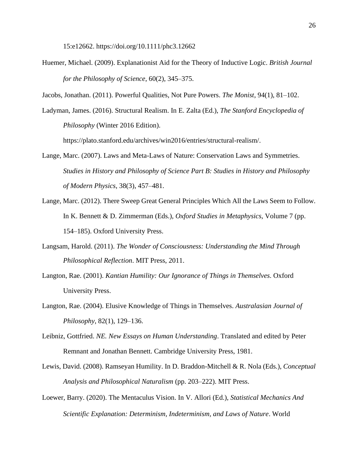15:e12662. https://doi.org/10.1111/phc3.12662

- Huemer, Michael. (2009). Explanationist Aid for the Theory of Inductive Logic. *British Journal for the Philosophy of Science*, 60(2), 345–375.
- Jacobs, Jonathan. (2011). Powerful Qualities, Not Pure Powers. *The Monist*, 94(1), 81–102.
- Ladyman, James. (2016). Structural Realism. In E. Zalta (Ed.), *The Stanford Encyclopedia of Philosophy* (Winter 2016 Edition).

https://plato.stanford.edu/archives/win2016/entries/structural-realism/.

- Lange, Marc. (2007). Laws and Meta-Laws of Nature: Conservation Laws and Symmetries. *Studies in History and Philosophy of Science Part B: Studies in History and Philosophy of Modern Physics*, 38(3), 457–481.
- Lange, Marc. (2012). There Sweep Great General Principles Which All the Laws Seem to Follow. In K. Bennett & D. Zimmerman (Eds.), *Oxford Studies in Metaphysics*, Volume 7 (pp. 154–185). Oxford University Press.
- Langsam, Harold. (2011). *The Wonder of Consciousness: Understanding the Mind Through Philosophical Reflection*. MIT Press, 2011.
- Langton, Rae. (2001). *Kantian Humility: Our Ignorance of Things in Themselves*. Oxford University Press.
- Langton, Rae. (2004). Elusive Knowledge of Things in Themselves. *Australasian Journal of Philosophy*, 82(1), 129–136.
- Leibniz, Gottfried. *NE. New Essays on Human Understanding*. Translated and edited by Peter Remnant and Jonathan Bennett. Cambridge University Press, 1981.
- Lewis, David. (2008). Ramseyan Humility. In D. Braddon-Mitchell & R. Nola (Eds.), *Conceptual Analysis and Philosophical Naturalism* (pp. 203–222). MIT Press.
- Loewer, Barry. (2020). The Mentaculus Vision. In V. Allori (Ed.), *Statistical Mechanics And Scientific Explanation: Determinism, Indeterminism, and Laws of Nature*. World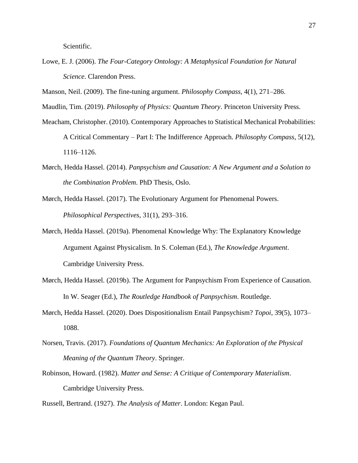Scientific.

- Lowe, E. J. (2006). *The Four-Category Ontology: A Metaphysical Foundation for Natural Science*. Clarendon Press.
- Manson, Neil. (2009). The fine-tuning argument. *Philosophy Compass*, 4(1), 271–286.

Maudlin, Tim. (2019). *Philosophy of Physics: Quantum Theory*. Princeton University Press.

- Meacham, Christopher. (2010). Contemporary Approaches to Statistical Mechanical Probabilities: A Critical Commentary – Part I: The Indifference Approach. *Philosophy Compass*, 5(12), 1116–1126.
- Mørch, Hedda Hassel. (2014). *Panpsychism and Causation: A New Argument and a Solution to the Combination Problem*. PhD Thesis, Oslo.
- Mørch, Hedda Hassel. (2017). The Evolutionary Argument for Phenomenal Powers. *Philosophical Perspectives*, 31(1), 293–316.
- Mørch, Hedda Hassel. (2019a). Phenomenal Knowledge Why: The Explanatory Knowledge Argument Against Physicalism. In S. Coleman (Ed.), *The Knowledge Argument*. Cambridge University Press.
- Mørch, Hedda Hassel. (2019b). The Argument for Panpsychism From Experience of Causation. In W. Seager (Ed.), *The Routledge Handbook of Panpsychism*. Routledge.
- Mørch, Hedda Hassel. (2020). Does Dispositionalism Entail Panpsychism? *Topoi*, 39(5), 1073– 1088.
- Norsen, Travis. (2017). *Foundations of Quantum Mechanics: An Exploration of the Physical Meaning of the Quantum Theory*. Springer.
- Robinson, Howard. (1982). *Matter and Sense: A Critique of Contemporary Materialism*. Cambridge University Press.

Russell, Bertrand. (1927). *The Analysis of Matter*. London: Kegan Paul.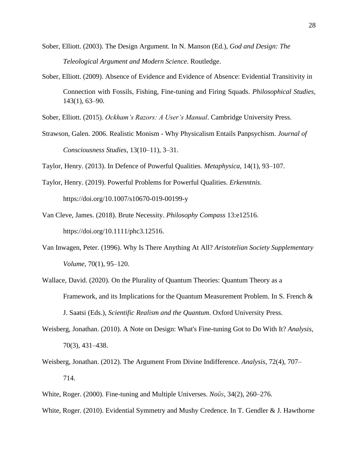- Sober, Elliott. (2003). The Design Argument. In N. Manson (Ed.), *God and Design: The Teleological Argument and Modern Science*. Routledge.
- Sober, Elliott. (2009). Absence of Evidence and Evidence of Absence: Evidential Transitivity in Connection with Fossils, Fishing, Fine-tuning and Firing Squads. *Philosophical Studies,*  143(1), 63–90.
- Sober, Elliott. (2015). *Ockham's Razors: A User's Manual*. Cambridge University Press.
- Strawson, Galen. 2006. Realistic Monism Why Physicalism Entails Panpsychism. *Journal of Consciousness Studies*, 13(10–11), 3–31.
- Taylor, Henry. (2013). In Defence of Powerful Qualities. *Metaphysica*, 14(1), 93–107.
- Taylor, Henry. (2019). Powerful Problems for Powerful Qualities. *Erkenntnis*. https://doi.org/10.1007/s10670-019-00199-y
- Van Cleve, James. (2018). Brute Necessity. *Philosophy Compass* 13:e12516. https://doi.org/10.1111/phc3.12516.
- Van Inwagen, Peter. (1996). Why Is There Anything At All? *Aristotelian Society Supplementary Volume*, 70(1), 95–120.
- Wallace, David. (2020). On the Plurality of Quantum Theories: Quantum Theory as a Framework, and its Implications for the Quantum Measurement Problem. In S. French & J. Saatsi (Eds.), *Scientific Realism and the Quantum*. Oxford University Press.
- Weisberg, Jonathan. (2010). A Note on Design: What's Fine-tuning Got to Do With It? *Analysis*, 70(3), 431–438.
- Weisberg, Jonathan. (2012). The Argument From Divine Indifference. *Analysis*, 72(4), 707– 714.
- White, Roger. (2000). Fine-tuning and Multiple Universes. *Noûs*, 34(2), 260–276.
- White, Roger. (2010). Evidential Symmetry and Mushy Credence. In T. Gendler & J. Hawthorne